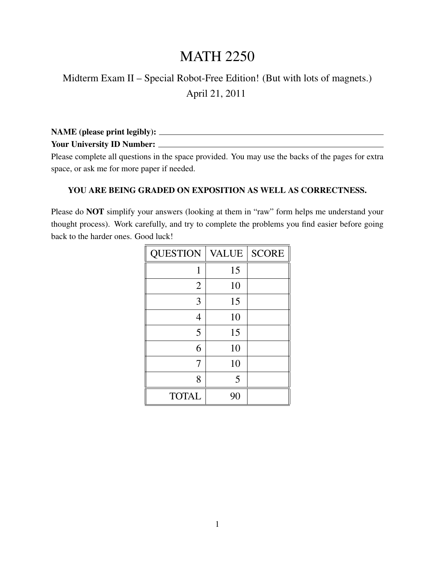## MATH 2250

## Midterm Exam II – Special Robot-Free Edition! (But with lots of magnets.) April 21, 2011

| <b>NAME</b> (please print legibly): |  |
|-------------------------------------|--|
| <b>Your University ID Number:</b>   |  |

Please complete all questions in the space provided. You may use the backs of the pages for extra space, or ask me for more paper if needed.

## YOU ARE BEING GRADED ON EXPOSITION AS WELL AS CORRECTNESS.

Please do NOT simplify your answers (looking at them in "raw" form helps me understand your thought process). Work carefully, and try to complete the problems you find easier before going back to the harder ones. Good luck!

| <b>QUESTION</b> | <b>VALUE</b> | <b>SCORE</b> |
|-----------------|--------------|--------------|
| 1               | 15           |              |
| $\overline{2}$  | 10           |              |
| 3               | 15           |              |
| 4               | 10           |              |
| 5               | 15           |              |
| 6               | 10           |              |
| 7               | 10           |              |
| 8               | 5            |              |
| <b>TOTAL</b>    | 90           |              |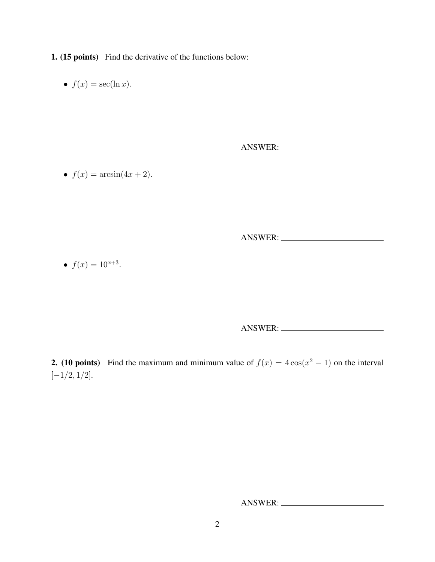1. (15 points) Find the derivative of the functions below:

•  $f(x) = \sec(\ln x)$ .

ANSWER:

•  $f(x) = \arcsin(4x + 2)$ .

ANSWER:

•  $f(x) = 10^{x+3}$ .

ANSWER:

**2.** (10 points) Find the maximum and minimum value of  $f(x) = 4\cos(x^2 - 1)$  on the interval  $[-1/2, 1/2].$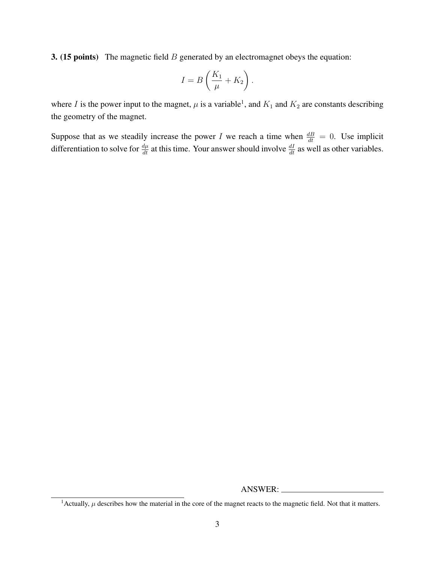**3.** (15 points) The magnetic field  $B$  generated by an electromagnet obeys the equation:

$$
I = B\left(\frac{K_1}{\mu} + K_2\right).
$$

where I is the power input to the magnet,  $\mu$  is a variable<sup>1</sup>, and  $K_1$  and  $K_2$  are constants describing the geometry of the magnet.

Suppose that as we steadily increase the power I we reach a time when  $\frac{dB}{dt} = 0$ . Use implicit differentiation to solve for  $\frac{d\mu}{dt}$  at this time. Your answer should involve  $\frac{dI}{dt}$  as well as other variables.

<sup>&</sup>lt;sup>1</sup>Actually,  $\mu$  describes how the material in the core of the magnet reacts to the magnetic field. Not that it matters.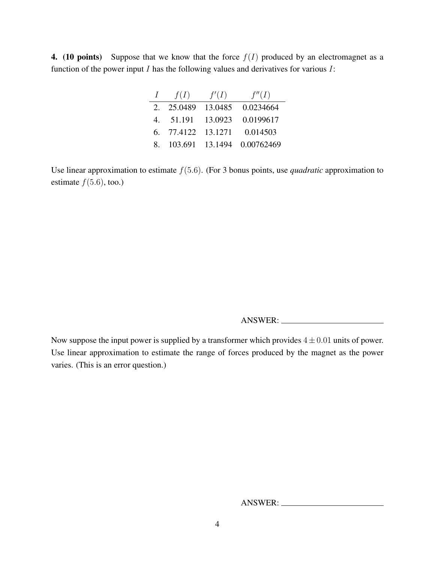4. (10 points) Suppose that we know that the force  $f(I)$  produced by an electromagnet as a function of the power input  $I$  has the following values and derivatives for various  $I$ :

| $\perp$     | f(I)               | f'(I)           | f''(I)     |
|-------------|--------------------|-----------------|------------|
| $2^{\circ}$ | 25.0489            | 13.0485         | 0.0234664  |
|             | 4. 51.191          | 13.0923         | 0.0199617  |
|             | 6. 77.4122 13.1271 |                 | 0.014503   |
| 8.          |                    | 103.691 13.1494 | 0.00762469 |

Use linear approximation to estimate f(5.6). (For 3 bonus points, use *quadratic* approximation to estimate  $f(5.6)$ , too.)

ANSWER:

Now suppose the input power is supplied by a transformer which provides  $4 \pm 0.01$  units of power. Use linear approximation to estimate the range of forces produced by the magnet as the power varies. (This is an error question.)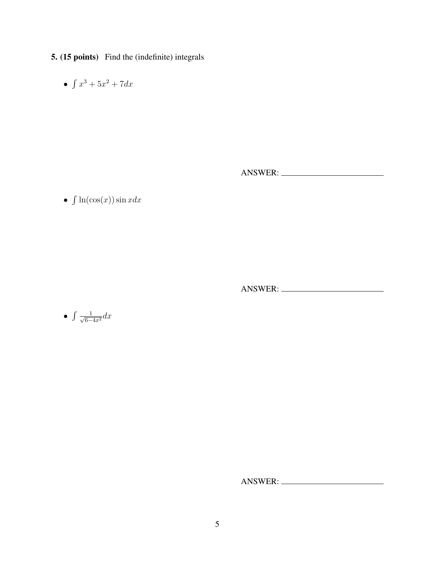- 5. (15 points) Find the (indefinite) integrals
	- $\int x^3 + 5x^2 + 7dx$

ANSWER:

•  $\int \ln(\cos(x)) \sin x dx$ 

ANSWER:

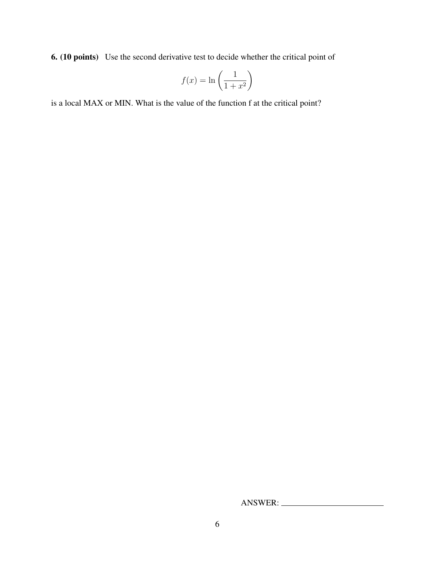6. (10 points) Use the second derivative test to decide whether the critical point of

$$
f(x) = \ln\left(\frac{1}{1+x^2}\right)
$$

is a local MAX or MIN. What is the value of the function f at the critical point?